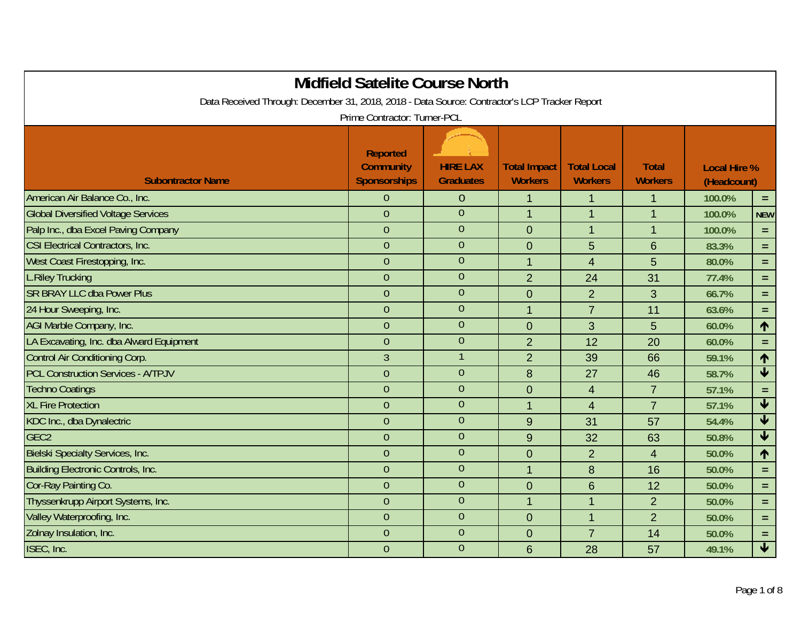|                                                                                               | <b>Midfield Satelite Course North</b>                      |                                     |                                       |                                      |                                |                                    |                         |
|-----------------------------------------------------------------------------------------------|------------------------------------------------------------|-------------------------------------|---------------------------------------|--------------------------------------|--------------------------------|------------------------------------|-------------------------|
| Data Received Through: December 31, 2018, 2018 - Data Source: Contractor's LCP Tracker Report | Prime Contractor: Turner-PCL                               |                                     |                                       |                                      |                                |                                    |                         |
| <b>Subontractor Name</b>                                                                      | <b>Reported</b><br><b>Community</b><br><b>Sponsorships</b> | <b>HIRE LAX</b><br><b>Graduates</b> | <b>Total Impact</b><br><b>Workers</b> | <b>Total Local</b><br><b>Workers</b> | <b>Total</b><br><b>Workers</b> | <b>Local Hire %</b><br>(Headcount) |                         |
| American Air Balance Co., Inc.                                                                | 0                                                          | $\overline{0}$                      | $\mathbf 1$                           | 1                                    | 1                              | 100.0%                             | $=$ $\,$                |
| <b>Global Diversified Voltage Services</b>                                                    | $\overline{0}$                                             | $\overline{0}$                      | $\overline{1}$                        | $\mathbf{1}$                         | $\mathbf{1}$                   | 100.0%                             | <b>NEW</b>              |
| Palp Inc., dba Excel Paving Company                                                           | $\overline{0}$                                             | $\overline{0}$                      | $\mathbf 0$                           | $\mathbf{1}$                         | $\mathbf{1}$                   | 100.0%                             | $\equiv$                |
| CSI Electrical Contractors, Inc.                                                              | $\overline{0}$                                             | $\overline{0}$                      | $\overline{0}$                        | 5                                    | 6                              | 83.3%                              | $=$                     |
| West Coast Firestopping, Inc.                                                                 | $\overline{0}$                                             | $\overline{0}$                      | $\overline{1}$                        | $\overline{4}$                       | 5                              | 80.0%                              | $=$                     |
| <b>L.Riley Trucking</b>                                                                       | $\overline{0}$                                             | $\overline{0}$                      | $\overline{2}$                        | 24                                   | 31                             | 77.4%                              | $=$                     |
| <b>SR BRAY LLC dba Power Plus</b>                                                             | $\overline{0}$                                             | $\overline{0}$                      | $\mathbf 0$                           | $\overline{2}$                       | 3                              | 66.7%                              | $=$                     |
| 24 Hour Sweeping, Inc.                                                                        | $\overline{0}$                                             | $\theta$                            | $\overline{1}$                        | $\overline{7}$                       | 11                             | 63.6%                              | $\equiv$                |
| AGI Marble Company, Inc.                                                                      | $\overline{0}$                                             | $\overline{0}$                      | $\overline{0}$                        | 3                                    | 5                              | 60.0%                              | 个                       |
| LA Excavating, Inc. dba Alward Equipment                                                      | $\overline{0}$                                             | $\theta$                            | $\overline{2}$                        | 12                                   | 20                             | 60.0%                              | $\equiv$                |
| Control Air Conditioning Corp.                                                                | $\overline{3}$                                             | $\mathbf{1}$                        | $\overline{2}$                        | 39                                   | 66                             | 59.1%                              | 个                       |
| <b>PCL Construction Services - A/TPJV</b>                                                     | $\overline{0}$                                             | $\theta$                            | 8                                     | 27                                   | 46                             | 58.7%                              | $\overline{\textbf{t}}$ |
| <b>Techno Coatings</b>                                                                        | $\overline{0}$                                             | $\overline{0}$                      | $\overline{0}$                        | $\overline{4}$                       | $\overline{7}$                 | 57.1%                              | $\equiv$                |
| <b>XL Fire Protection</b>                                                                     | $\overline{0}$                                             | $\overline{0}$                      | $\overline{1}$                        | $\overline{4}$                       | $\overline{7}$                 | 57.1%                              | $\blacklozenge$         |
| KDC Inc., dba Dynalectric                                                                     | $\overline{0}$                                             | $\theta$                            | 9                                     | 31                                   | 57                             | 54.4%                              | $\blacklozenge$         |
| GEC <sub>2</sub>                                                                              | $\overline{0}$                                             | $\overline{0}$                      | 9                                     | 32                                   | 63                             | 50.8%                              | $\overline{\textbf{t}}$ |
| <b>Bielski Specialty Services, Inc.</b>                                                       | $\mathbf{0}$                                               | $\overline{0}$                      | $\overline{0}$                        | $\overline{2}$                       | $\overline{4}$                 | 50.0%                              | 个                       |
| <b>Building Electronic Controls, Inc.</b>                                                     | $\overline{0}$                                             | $\overline{0}$                      | $\overline{1}$                        | 8                                    | 16                             | 50.0%                              | $=$                     |
| Cor-Ray Painting Co.                                                                          | $\overline{0}$                                             | $\mathbf{0}$                        | $\mathbf{0}$                          | 6                                    | 12                             | 50.0%                              | $=$                     |
| Thyssenkrupp Airport Systems, Inc.                                                            | $\overline{0}$                                             | $\mathbf{0}$                        | $\mathbf{1}$                          | $\mathbf{1}$                         | $\overline{2}$                 | 50.0%                              | $=$                     |
| Valley Waterproofing, Inc.                                                                    | $\mathbf{0}$                                               | $\mathbf 0$                         | $\overline{0}$                        | $\mathbf{1}$                         | $\overline{2}$                 | 50.0%                              | $=$                     |
| Zolnay Insulation, Inc.                                                                       | $\overline{0}$                                             | $\mathbf{0}$                        | $\overline{0}$                        | $\overline{7}$                       | 14                             | 50.0%                              | $=$                     |
| ISEC, Inc.                                                                                    | $\overline{0}$                                             | $\overline{0}$                      | 6                                     | 28                                   | 57                             | 49.1%                              | $\blacklozenge$         |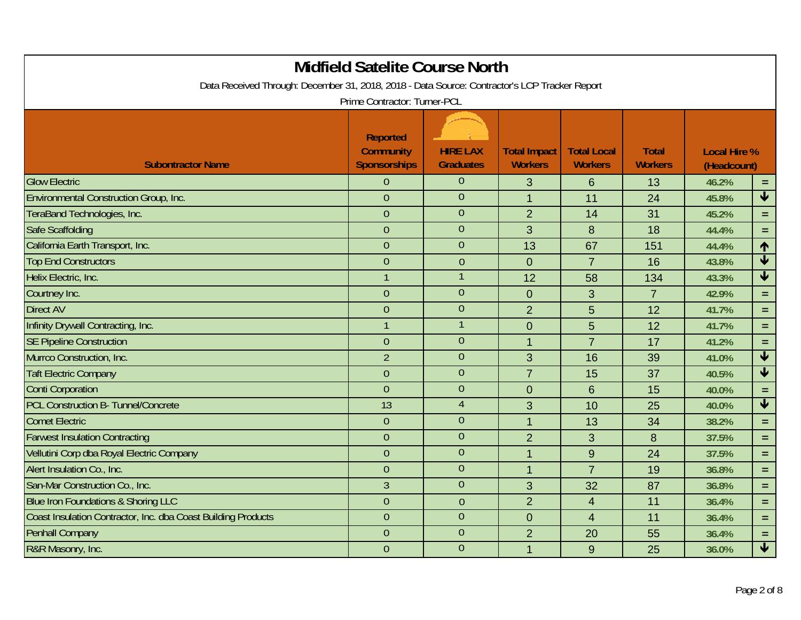| <b>Midfield Satelite Course North</b>                         |                                                                                               |                                     |                                       |                                      |                                |                                    |                            |  |  |  |
|---------------------------------------------------------------|-----------------------------------------------------------------------------------------------|-------------------------------------|---------------------------------------|--------------------------------------|--------------------------------|------------------------------------|----------------------------|--|--|--|
|                                                               | Data Received Through: December 31, 2018, 2018 - Data Source: Contractor's LCP Tracker Report |                                     |                                       |                                      |                                |                                    |                            |  |  |  |
|                                                               | Prime Contractor: Turner-PCL                                                                  |                                     |                                       |                                      |                                |                                    |                            |  |  |  |
| <b>Subontractor Name</b>                                      | <b>Reported</b><br><b>Community</b><br><b>Sponsorships</b>                                    | <b>HIRE LAX</b><br><b>Graduates</b> | <b>Total Impact</b><br><b>Workers</b> | <b>Total Local</b><br><b>Workers</b> | <b>Total</b><br><b>Workers</b> | <b>Local Hire %</b><br>(Headcount) |                            |  |  |  |
| <b>Glow Electric</b>                                          | $\overline{0}$                                                                                | $\overline{0}$                      | 3                                     | 6                                    | 13                             | 46.2%                              | $\equiv$                   |  |  |  |
| Environmental Construction Group, Inc.                        | $\overline{0}$                                                                                | $\overline{0}$                      | $\mathbf{1}$                          | 11                                   | 24                             | 45.8%                              | $\blacklozenge$            |  |  |  |
| TeraBand Technologies, Inc.                                   | $\overline{0}$                                                                                | $\overline{0}$                      | $\overline{2}$                        | 14                                   | 31                             | 45.2%                              | $\equiv$                   |  |  |  |
| <b>Safe Scaffolding</b>                                       | $\overline{0}$                                                                                | $\overline{0}$                      | 3                                     | 8                                    | 18                             | 44.4%                              | $\equiv$                   |  |  |  |
| California Earth Transport, Inc.                              | $\theta$                                                                                      | $\overline{0}$                      | 13                                    | 67                                   | 151                            | 44.4%                              | 1                          |  |  |  |
| <b>Top End Constructors</b>                                   | $\overline{0}$                                                                                | $\overline{0}$                      | $\overline{0}$                        | $\overline{7}$                       | 16                             | 43.8%                              | $\overline{\textbf{t}}$    |  |  |  |
| Helix Electric, Inc.                                          |                                                                                               |                                     | 12                                    | 58                                   | 134                            | 43.3%                              | $\overline{\textbf{t}}$    |  |  |  |
| Courtney Inc.                                                 | $\overline{0}$                                                                                | $\overline{0}$                      | $\mathbf 0$                           | 3                                    | $\overline{7}$                 | 42.9%                              | $\equiv$                   |  |  |  |
| <b>Direct AV</b>                                              | $\overline{0}$                                                                                | $\overline{0}$                      | $\overline{2}$                        | 5                                    | 12                             | 41.7%                              | $\equiv$                   |  |  |  |
| Infinity Drywall Contracting, Inc.                            | $\mathbf{1}$                                                                                  | 1                                   | $\mathbf 0$                           | 5                                    | 12                             | 41.7%                              | $\equiv$                   |  |  |  |
| <b>SE Pipeline Construction</b>                               | $\overline{0}$                                                                                | $\overline{0}$                      | $\overline{1}$                        | $\overline{7}$                       | 17                             | 41.2%                              | $\equiv$                   |  |  |  |
| Murrco Construction, Inc.                                     | $\overline{2}$                                                                                | $\overline{0}$                      | 3                                     | 16                                   | 39                             | 41.0%                              | $\overline{\blacklozenge}$ |  |  |  |
| <b>Taft Electric Company</b>                                  | $\overline{0}$                                                                                | $\overline{0}$                      | $\overline{7}$                        | 15                                   | 37                             | 40.5%                              | $\overline{\textbf{t}}$    |  |  |  |
| <b>Conti Corporation</b>                                      | $\overline{0}$                                                                                | $\overline{0}$                      | $\overline{0}$                        | 6                                    | 15                             | 40.0%                              | $\equiv$                   |  |  |  |
| <b>PCL Construction B- Tunnel/Concrete</b>                    | 13                                                                                            | $\overline{4}$                      | 3                                     | 10                                   | 25                             | 40.0%                              | $\overline{\blacklozenge}$ |  |  |  |
| <b>Comet Electric</b>                                         | $\overline{0}$                                                                                | $\overline{0}$                      | $\overline{1}$                        | 13                                   | 34                             | 38.2%                              | $\equiv$                   |  |  |  |
| <b>Farwest Insulation Contracting</b>                         | $\mathbf{0}$                                                                                  | $\overline{0}$                      | $\overline{2}$                        | 3                                    | 8                              | 37.5%                              | $\equiv$                   |  |  |  |
| Vellutini Corp dba Royal Electric Company                     | $\overline{0}$                                                                                | $\overline{0}$                      | $\overline{1}$                        | $9$                                  | 24                             | 37.5%                              | $\equiv$                   |  |  |  |
| Alert Insulation Co., Inc.                                    | $\theta$                                                                                      | $\overline{0}$                      | $\overline{1}$                        | $\overline{7}$                       | 19                             | 36.8%                              | $\equiv$                   |  |  |  |
| San-Mar Construction Co., Inc.                                | $\overline{3}$                                                                                | $\overline{0}$                      | 3                                     | 32                                   | 87                             | 36.8%                              | $\equiv$                   |  |  |  |
| <b>Blue Iron Foundations &amp; Shoring LLC</b>                | $\overline{0}$                                                                                | $\theta$                            | $\overline{2}$                        | $\overline{4}$                       | 11                             | 36.4%                              | $\equiv$                   |  |  |  |
| Coast Insulation Contractor, Inc. dba Coast Building Products | $\overline{0}$                                                                                | $\overline{0}$                      | $\mathbf 0$                           | 4                                    | 11                             | 36.4%                              | $\equiv$                   |  |  |  |
| <b>Penhall Company</b>                                        | $\overline{0}$                                                                                | $\overline{0}$                      | $\overline{2}$                        | 20                                   | 55                             | 36.4%                              | $\equiv$                   |  |  |  |
| R&R Masonry, Inc.                                             | $\overline{0}$                                                                                | $\overline{0}$                      | $\overline{1}$                        | $9\,$                                | 25                             | 36.0%                              | $\blacklozenge$            |  |  |  |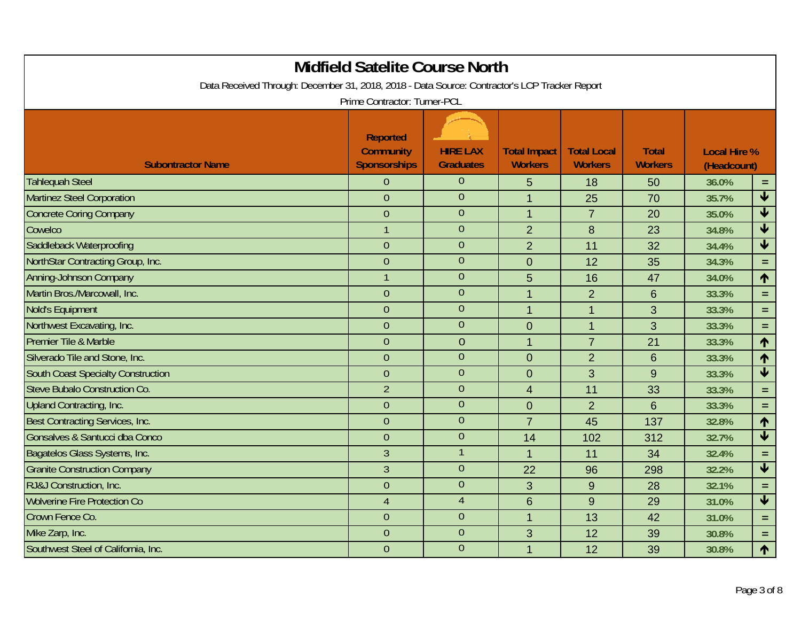| <b>Midfield Satelite Course North</b><br>Data Received Through: December 31, 2018, 2018 - Data Source: Contractor's LCP Tracker Report |                                                            |                                     |                                       |                                      |                                |                                    |                         |  |
|----------------------------------------------------------------------------------------------------------------------------------------|------------------------------------------------------------|-------------------------------------|---------------------------------------|--------------------------------------|--------------------------------|------------------------------------|-------------------------|--|
|                                                                                                                                        | Prime Contractor: Turner-PCL                               |                                     |                                       |                                      |                                |                                    |                         |  |
| <b>Subontractor Name</b>                                                                                                               | <b>Reported</b><br><b>Community</b><br><b>Sponsorships</b> | <b>HIRE LAX</b><br><b>Graduates</b> | <b>Total Impact</b><br><b>Workers</b> | <b>Total Local</b><br><b>Workers</b> | <b>Total</b><br><b>Workers</b> | <b>Local Hire %</b><br>(Headcount) |                         |  |
| <b>Tahlequah Steel</b>                                                                                                                 | $\Omega$                                                   | $\overline{0}$                      | 5                                     | 18                                   | 50                             | 36.0%                              | $=$                     |  |
| <b>Martinez Steel Corporation</b>                                                                                                      | $\overline{0}$                                             | $\overline{0}$                      | $\mathbf{1}$                          | 25                                   | 70                             | 35.7%                              | $\overline{\textbf{t}}$ |  |
| <b>Concrete Coring Company</b>                                                                                                         | $\overline{0}$                                             | $\overline{0}$                      | $\mathbf{1}$                          | $\overline{7}$                       | 20                             | 35.0%                              | $\blacktriangledown$    |  |
| Cowelco                                                                                                                                | $\overline{1}$                                             | $\overline{0}$                      | $\overline{2}$                        | $\boldsymbol{8}$                     | 23                             | 34.8%                              | $\overline{\textbf{t}}$ |  |
| Saddleback Waterproofing                                                                                                               | $\overline{0}$                                             | $\theta$                            | $\overline{2}$                        | 11                                   | 32                             | 34.4%                              | $\blacklozenge$         |  |
| NorthStar Contracting Group, Inc.                                                                                                      | $\overline{0}$                                             | $\overline{0}$                      | $\overline{0}$                        | 12                                   | 35                             | 34.3%                              | $\equiv$                |  |
| Anning-Johnson Company                                                                                                                 | $\mathbf{1}$                                               | $\overline{0}$                      | 5                                     | 16                                   | 47                             | 34.0%                              | $\uparrow$              |  |
| Martin Bros./Marcowall, Inc.                                                                                                           | $\overline{0}$                                             | $\overline{0}$                      | $\overline{1}$                        | $\overline{2}$                       | 6                              | 33.3%                              | $\equiv$                |  |
| Nold's Equipment                                                                                                                       | $\overline{0}$                                             | $\overline{0}$                      | $\overline{1}$                        | $\overline{1}$                       | 3                              | 33.3%                              | $=$                     |  |
| Northwest Excavating, Inc.                                                                                                             | $\theta$                                                   | $\mathbf 0$                         | $\mathbf 0$                           | $\overline{1}$                       | 3                              | 33.3%                              | $\equiv$                |  |
| Premier Tile & Marble                                                                                                                  | $\overline{0}$                                             | $\overline{0}$                      | $\overline{1}$                        | $\overline{7}$                       | 21                             | 33.3%                              | $\uparrow$              |  |
| Silverado Tile and Stone, Inc.                                                                                                         | $\overline{0}$                                             | $\overline{0}$                      | $\overline{0}$                        | $\overline{2}$                       | 6                              | 33.3%                              | 1                       |  |
| <b>South Coast Specialty Construction</b>                                                                                              | $\overline{0}$                                             | $\overline{0}$                      | $\overline{0}$                        | 3                                    | 9                              | 33.3%                              | $\overline{\textbf{t}}$ |  |
| Steve Bubalo Construction Co.                                                                                                          | $\overline{2}$                                             | $\overline{0}$                      | $\overline{4}$                        | 11                                   | 33                             | 33.3%                              | $\equiv$                |  |
| Upland Contracting, Inc.                                                                                                               | $\overline{0}$                                             | $\theta$                            | $\mathbf 0$                           | $\overline{2}$                       | $6\phantom{1}$                 | 33.3%                              | $\equiv$                |  |
| Best Contracting Services, Inc.                                                                                                        | $\theta$                                                   | $\overline{0}$                      | $\overline{7}$                        | 45                                   | 137                            | 32.8%                              | 1                       |  |
| Gonsalves & Santucci dba Conco                                                                                                         | $\overline{0}$                                             | $\overline{0}$                      | 14                                    | 102                                  | 312                            | 32.7%                              | $\overline{\textbf{t}}$ |  |
| Bagatelos Glass Systems, Inc.                                                                                                          | $\overline{3}$                                             |                                     | $\overline{1}$                        | 11                                   | 34                             | 32.4%                              | $\equiv$                |  |
| <b>Granite Construction Company</b>                                                                                                    | $\overline{3}$                                             | $\overline{0}$                      | 22                                    | 96                                   | 298                            | 32.2%                              | $\blacklozenge$         |  |
| RJ&J Construction, Inc.                                                                                                                | $\overline{0}$                                             | $\theta$                            | 3                                     | $9\,$                                | 28                             | 32.1%                              | $\equiv$                |  |
| <b>Wolverine Fire Protection Co</b>                                                                                                    | $\overline{4}$                                             | $\overline{4}$                      | $6\phantom{1}6$                       | $9\,$                                | 29                             | 31.0%                              | $\blacklozenge$         |  |
| Crown Fence Co.                                                                                                                        | $\theta$                                                   | $\theta$                            | $\overline{1}$                        | 13                                   | 42                             | 31.0%                              | $=$                     |  |
| Mike Zarp, Inc.                                                                                                                        | $\overline{0}$                                             | $\overline{0}$                      | 3                                     | 12                                   | 39                             | 30.8%                              | $=$                     |  |
| Southwest Steel of California, Inc.                                                                                                    | $\overline{0}$                                             | $\overline{0}$                      | $\overline{1}$                        | 12                                   | 39                             | 30.8%                              | 1                       |  |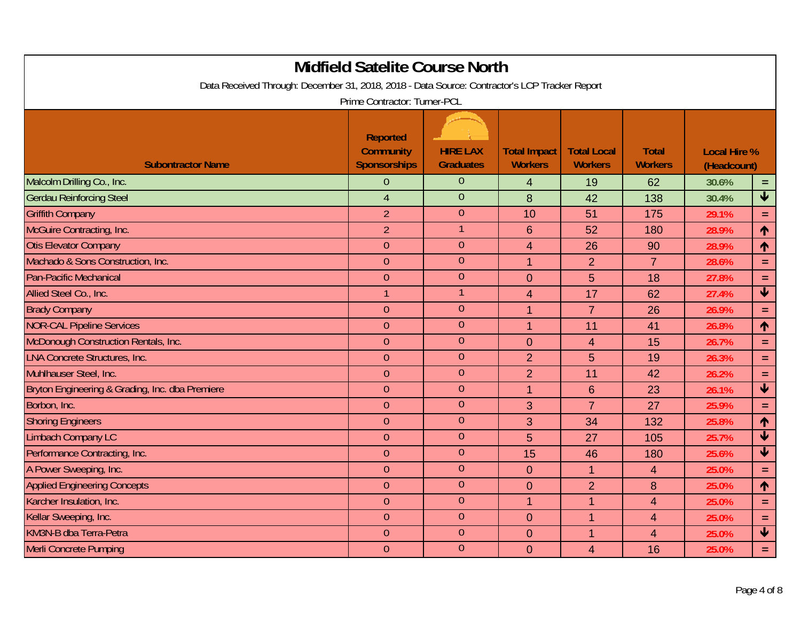| <b>Midfield Satelite Course North</b>                                                         |                                                            |                                     |                                       |                                      |                                |                                    |                         |  |
|-----------------------------------------------------------------------------------------------|------------------------------------------------------------|-------------------------------------|---------------------------------------|--------------------------------------|--------------------------------|------------------------------------|-------------------------|--|
| Data Received Through: December 31, 2018, 2018 - Data Source: Contractor's LCP Tracker Report | Prime Contractor: Turner-PCL                               |                                     |                                       |                                      |                                |                                    |                         |  |
| <b>Subontractor Name</b>                                                                      | <b>Reported</b><br><b>Community</b><br><b>Sponsorships</b> | <b>HIRE LAX</b><br><b>Graduates</b> | <b>Total Impact</b><br><b>Workers</b> | <b>Total Local</b><br><b>Workers</b> | <b>Total</b><br><b>Workers</b> | <b>Local Hire %</b><br>(Headcount) |                         |  |
| Malcolm Drilling Co., Inc.                                                                    | $\overline{0}$                                             | $\overline{0}$                      | $\overline{4}$                        | 19                                   | 62                             | 30.6%                              | $\equiv$                |  |
| <b>Gerdau Reinforcing Steel</b>                                                               | $\overline{4}$                                             | $\overline{0}$                      | 8                                     | 42                                   | 138                            | 30.4%                              | $\overline{\textbf{t}}$ |  |
| <b>Griffith Company</b>                                                                       | $\overline{2}$                                             | $\overline{0}$                      | 10                                    | 51                                   | 175                            | 29.1%                              | $\equiv$                |  |
| McGuire Contracting, Inc.                                                                     | $\overline{2}$                                             |                                     | $6\phantom{1}6$                       | 52                                   | 180                            | 28.9%                              | 个                       |  |
| <b>Otis Elevator Company</b>                                                                  | $\overline{0}$                                             | $\theta$                            | $\overline{4}$                        | 26                                   | 90                             | 28.9%                              | $\uparrow$              |  |
| Machado & Sons Construction, Inc.                                                             | $\overline{0}$                                             | $\overline{0}$                      | $\overline{1}$                        | $\overline{2}$                       | $\overline{7}$                 | 28.6%                              | $\equiv$                |  |
| <b>Pan-Pacific Mechanical</b>                                                                 | $\theta$                                                   | $\theta$                            | $\overline{0}$                        | 5                                    | 18                             | 27.8%                              | $\equiv$                |  |
| Allied Steel Co., Inc.                                                                        | $\mathbf{1}$                                               | $\mathbf 1$                         | $\overline{4}$                        | 17                                   | 62                             | 27.4%                              | $\blacklozenge$         |  |
| <b>Brady Company</b>                                                                          | $\theta$                                                   | $\overline{0}$                      | $\overline{1}$                        | $\overline{7}$                       | 26                             | 26.9%                              | $\equiv$                |  |
| <b>NOR-CAL Pipeline Services</b>                                                              | $\theta$                                                   | $\theta$                            | $\overline{1}$                        | 11                                   | 41                             | 26.8%                              | $\uparrow$              |  |
| McDonough Construction Rentals, Inc.                                                          | $\overline{0}$                                             | $\overline{0}$                      | $\overline{0}$                        | $\overline{4}$                       | 15                             | 26.7%                              | $\equiv$                |  |
| <b>LNA Concrete Structures, Inc.</b>                                                          | $\overline{0}$                                             | $\overline{0}$                      | $\overline{2}$                        | 5                                    | 19                             | 26.3%                              | $\equiv$                |  |
| Muhlhauser Steel, Inc.                                                                        | $\theta$                                                   | $\overline{0}$                      | $\overline{2}$                        | 11                                   | 42                             | 26.2%                              | $\equiv$                |  |
| Bryton Engineering & Grading, Inc. dba Premiere                                               | $\theta$                                                   | $\overline{0}$                      | $\overline{1}$                        | $6\phantom{1}$                       | 23                             | 26.1%                              | $\blacklozenge$         |  |
| Borbon, Inc.                                                                                  | $\theta$                                                   | $\theta$                            | 3                                     | $\overline{7}$                       | 27                             | 25.9%                              | $\equiv$                |  |
| <b>Shoring Engineers</b>                                                                      | $\theta$                                                   | $\overline{0}$                      | 3                                     | 34                                   | 132                            | 25.8%                              | 个                       |  |
| <b>Limbach Company LC</b>                                                                     | $\theta$                                                   | $\overline{0}$                      | 5                                     | 27                                   | 105                            | 25.7%                              | $\blacklozenge$         |  |
| Performance Contracting, Inc.                                                                 | $\overline{0}$                                             | $\overline{0}$                      | 15                                    | 46                                   | 180                            | 25.6%                              | $\overline{\textbf{t}}$ |  |
| A Power Sweeping, Inc.                                                                        | $\theta$                                                   | $\overline{0}$                      | $\overline{0}$                        | 1                                    | $\overline{4}$                 | 25.0%                              | $\equiv$                |  |
| <b>Applied Engineering Concepts</b>                                                           | $\overline{0}$                                             | $\theta$                            | $\mathbf 0$                           | $\overline{2}$                       | 8                              | 25.0%                              | $\uparrow$              |  |
| Karcher Insulation, Inc.                                                                      | $\mathbf{0}$                                               | $\theta$                            | $\mathbf{1}$                          | 1                                    | $\overline{4}$                 | 25.0%                              | $\equiv$                |  |
| Kellar Sweeping, Inc.                                                                         | $\theta$                                                   | $\theta$                            | $\overline{0}$                        | $\mathbf{1}$                         | $\overline{4}$                 | 25.0%                              | $\equiv$                |  |
| KM3N-B dba Terra-Petra                                                                        | $\overline{0}$                                             | $\overline{0}$                      | $\overline{0}$                        | $\mathbf 1$                          | $\overline{4}$                 | 25.0%                              | $\overline{\textbf{t}}$ |  |
| <b>Merli Concrete Pumping</b>                                                                 | $\overline{0}$                                             | $\theta$                            | $\overline{0}$                        | $\overline{4}$                       | 16                             | 25.0%                              | $\equiv$                |  |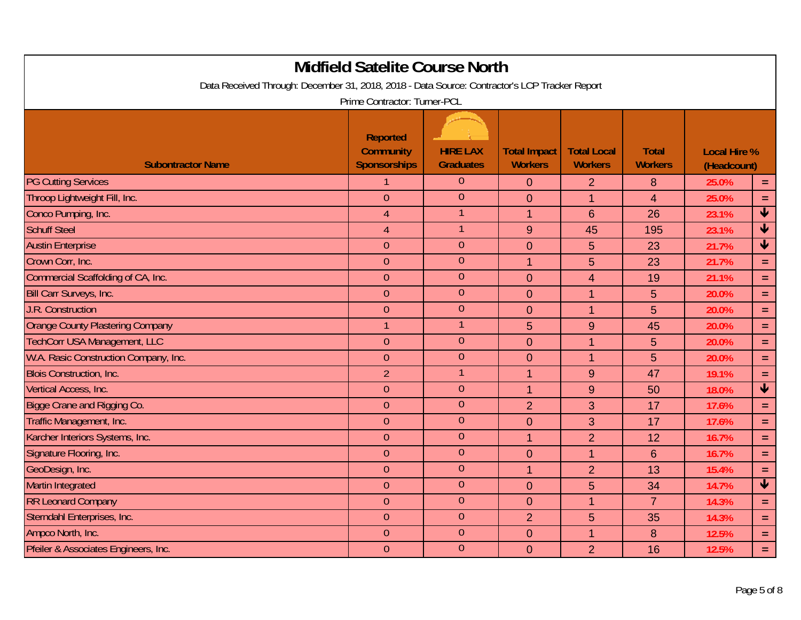| <b>Midfield Satelite Course North</b><br>Data Received Through: December 31, 2018, 2018 - Data Source: Contractor's LCP Tracker Report |                                                            |                                     |                                       |                                      |                                |                                    |                            |  |
|----------------------------------------------------------------------------------------------------------------------------------------|------------------------------------------------------------|-------------------------------------|---------------------------------------|--------------------------------------|--------------------------------|------------------------------------|----------------------------|--|
|                                                                                                                                        | Prime Contractor: Turner-PCL                               |                                     |                                       |                                      |                                |                                    |                            |  |
| <b>Subontractor Name</b>                                                                                                               | <b>Reported</b><br><b>Community</b><br><b>Sponsorships</b> | <b>HIRE LAX</b><br><b>Graduates</b> | <b>Total Impact</b><br><b>Workers</b> | <b>Total Local</b><br><b>Workers</b> | <b>Total</b><br><b>Workers</b> | <b>Local Hire %</b><br>(Headcount) |                            |  |
| <b>PG Cutting Services</b>                                                                                                             |                                                            | $\overline{0}$                      | $\mathbf{0}$                          | 2                                    | 8                              | 25.0%                              | $\equiv$                   |  |
| Throop Lightweight Fill, Inc.                                                                                                          | $\theta$                                                   | $\overline{0}$                      | $\Omega$                              | 1                                    | $\overline{4}$                 | 25.0%                              | $\equiv$                   |  |
| Conco Pumping, Inc.                                                                                                                    | $\overline{4}$                                             | 1                                   | $\overline{1}$                        | $6\phantom{1}$                       | 26                             | 23.1%                              | $\overline{\textbf{V}}$    |  |
| <b>Schuff Steel</b>                                                                                                                    | $\overline{4}$                                             |                                     | 9                                     | 45                                   | 195                            | 23.1%                              | $\overline{\textbf{v}}$    |  |
| <b>Austin Enterprise</b>                                                                                                               | $\theta$                                                   | $\theta$                            | $\overline{0}$                        | 5                                    | 23                             | 21.7%                              | $\blacklozenge$            |  |
| Crown Corr, Inc.                                                                                                                       | $\overline{0}$                                             | $\overline{0}$                      | $\overline{1}$                        | 5                                    | 23                             | 21.7%                              | $\equiv$                   |  |
| Commercial Scaffolding of CA, Inc.                                                                                                     | $\theta$                                                   | $\theta$                            | $\overline{0}$                        | 4                                    | 19                             | 21.1%                              | $\equiv$                   |  |
| Bill Carr Surveys, Inc.                                                                                                                | $\overline{0}$                                             | $\overline{0}$                      | $\overline{0}$                        | $\mathbf{1}$                         | 5                              | 20.0%                              | $\equiv$                   |  |
| <b>J.R. Construction</b>                                                                                                               | $\theta$                                                   | $\overline{0}$                      | $\mathbf{0}$                          | $\mathbf{1}$                         | 5                              | 20.0%                              | $\equiv$                   |  |
| <b>Orange County Plastering Company</b>                                                                                                | $\mathbf{1}$                                               | $\mathbf 1$                         | 5                                     | 9                                    | 45                             | 20.0%                              | $\equiv$                   |  |
| <b>TechCorr USA Management, LLC</b>                                                                                                    | $\theta$                                                   | $\overline{0}$                      | $\overline{0}$                        | $\mathbf{1}$                         | 5                              | 20.0%                              | $\equiv$                   |  |
| W.A. Rasic Construction Company, Inc.                                                                                                  | $\theta$                                                   | $\mathbf{0}$                        | $\overline{0}$                        | $\mathbf{1}$                         | 5                              | 20.0%                              | $\equiv$                   |  |
| <b>Blois Construction, Inc.</b>                                                                                                        | $\overline{2}$                                             | $\mathbf{1}$                        | $\overline{1}$                        | 9                                    | 47                             | 19.1%                              | $\equiv$                   |  |
| Vertical Access, Inc.                                                                                                                  | $\overline{0}$                                             | $\mathbf{0}$                        | $\overline{1}$                        | 9                                    | 50                             | 18.0%                              | $\blacklozenge$            |  |
| <b>Bigge Crane and Rigging Co.</b>                                                                                                     | $\theta$                                                   | $\theta$                            | $\overline{2}$                        | 3                                    | 17                             | 17.6%                              | $\equiv$                   |  |
| Traffic Management, Inc.                                                                                                               | $\theta$                                                   | $\overline{0}$                      | $\overline{0}$                        | 3                                    | 17                             | 17.6%                              | $\equiv$                   |  |
| Karcher Interiors Systems, Inc.                                                                                                        | $\theta$                                                   | $\overline{0}$                      | $\mathbf{1}$                          | $\overline{2}$                       | 12                             | 16.7%                              | $\equiv$                   |  |
| Signature Flooring, Inc.                                                                                                               | $\overline{0}$                                             | $\overline{0}$                      | $\mathbf 0$                           | $\mathbf{1}$                         | 6                              | 16.7%                              | $\equiv$                   |  |
| GeoDesign, Inc.                                                                                                                        | $\theta$                                                   | $\overline{0}$                      | $\mathbf{1}$                          | $\overline{2}$                       | 13                             | 15.4%                              | $\equiv$                   |  |
| <b>Martin Integrated</b>                                                                                                               | $\theta$                                                   | $\theta$                            | $\overline{0}$                        | 5                                    | 34                             | 14.7%                              | $\overline{\blacklozenge}$ |  |
| <b>RR Leonard Company</b>                                                                                                              | $\theta$                                                   | $\theta$                            | $\mathbf{0}$                          | $\mathbf{1}$                         | $\overline{7}$                 | 14.3%                              | $\equiv$                   |  |
| Sterndahl Enterprises, Inc.                                                                                                            | $\theta$                                                   | $\theta$                            | $\overline{2}$                        | 5                                    | 35                             | 14.3%                              | $\equiv$                   |  |
| Ampco North, Inc.                                                                                                                      | $\theta$                                                   | $\overline{0}$                      | $\overline{0}$                        | $\mathbf{1}$                         | 8                              | 12.5%                              | $\equiv$                   |  |
| Pfeiler & Associates Engineers, Inc.                                                                                                   | $\overline{0}$                                             | $\theta$                            | $\overline{0}$                        | $\overline{2}$                       | 16                             | 12.5%                              | $\equiv$                   |  |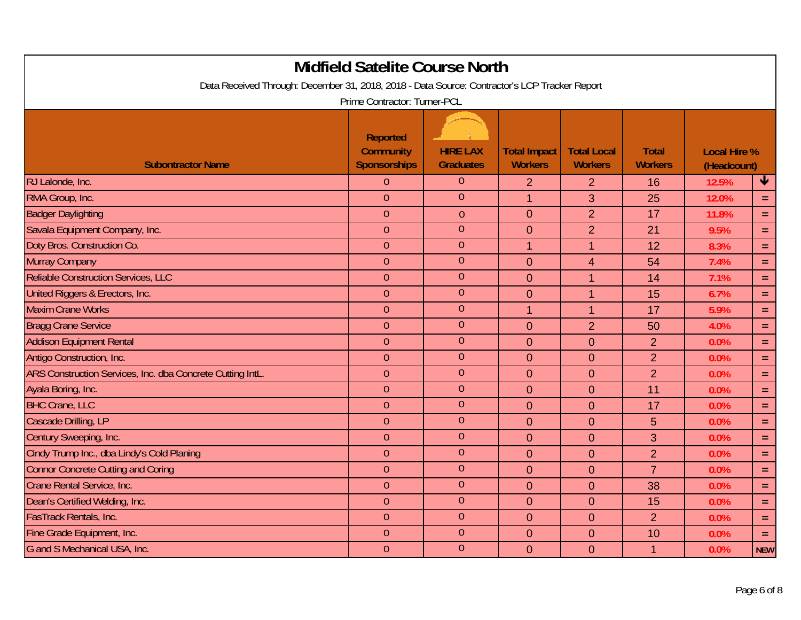| <b>Midfield Satelite Course North</b><br>Data Received Through: December 31, 2018, 2018 - Data Source: Contractor's LCP Tracker Report |                                                            |                                     |                                       |                                      |                                |                                    |            |  |
|----------------------------------------------------------------------------------------------------------------------------------------|------------------------------------------------------------|-------------------------------------|---------------------------------------|--------------------------------------|--------------------------------|------------------------------------|------------|--|
|                                                                                                                                        | Prime Contractor: Turner-PCL                               |                                     |                                       |                                      |                                |                                    |            |  |
| <b>Subontractor Name</b>                                                                                                               | <b>Reported</b><br><b>Community</b><br><b>Sponsorships</b> | <b>HIRE LAX</b><br><b>Graduates</b> | <b>Total Impact</b><br><b>Workers</b> | <b>Total Local</b><br><b>Workers</b> | <b>Total</b><br><b>Workers</b> | <b>Local Hire %</b><br>(Headcount) |            |  |
| RJ Lalonde, Inc.                                                                                                                       | $\overline{0}$                                             | $\overline{0}$                      | $\overline{2}$                        | $\overline{2}$                       | 16                             | 12.5%                              | ₩          |  |
| RMA Group, Inc.                                                                                                                        | $\overline{0}$                                             | $\overline{0}$                      | $\overline{1}$                        | 3                                    | 25                             | 12.0%                              | $\equiv$   |  |
| <b>Badger Daylighting</b>                                                                                                              | $\overline{0}$                                             | $\theta$                            | $\mathbf 0$                           | $\overline{2}$                       | 17                             | 11.8%                              | $\equiv$   |  |
| Savala Equipment Company, Inc.                                                                                                         | $\theta$                                                   | $\overline{0}$                      | $\mathbf{0}$                          | $\overline{2}$                       | 21                             | 9.5%                               | $\equiv$   |  |
| Doty Bros. Construction Co.                                                                                                            | $\overline{0}$                                             | $\overline{0}$                      | $\overline{1}$                        | 1                                    | 12                             | 8.3%                               | $\equiv$   |  |
| <b>Murray Company</b>                                                                                                                  | $\overline{0}$                                             | $\overline{0}$                      | $\overline{0}$                        | $\overline{4}$                       | 54                             | 7.4%                               | $\equiv$   |  |
| Reliable Construction Services, LLC                                                                                                    | $\theta$                                                   | $\overline{0}$                      | $\overline{0}$                        | 1                                    | 14                             | 7.1%                               | $\equiv$   |  |
| United Riggers & Erectors, Inc.                                                                                                        | $\overline{0}$                                             | $\overline{0}$                      | $\overline{0}$                        | 1                                    | 15                             | 6.7%                               | $\equiv$   |  |
| <b>Maxim Crane Works</b>                                                                                                               | $\overline{0}$                                             | $\overline{0}$                      | $\mathbf{1}$                          | 1                                    | 17                             | 5.9%                               | $\equiv$   |  |
| <b>Bragg Crane Service</b>                                                                                                             | $\theta$                                                   | $\mathbf{0}$                        | $\mathbf 0$                           | $\overline{2}$                       | 50                             | 4.0%                               | $\equiv$   |  |
| <b>Addison Equipment Rental</b>                                                                                                        | $\theta$                                                   | $\overline{0}$                      | $\overline{0}$                        | $\overline{0}$                       | $\overline{2}$                 | 0.0%                               | $\equiv$   |  |
| Antigo Construction, Inc.                                                                                                              | $\overline{0}$                                             | $\overline{0}$                      | $\overline{0}$                        | $\overline{0}$                       | $\overline{2}$                 | 0.0%                               | $\equiv$   |  |
| ARS Construction Services, Inc. dba Concrete Cutting IntL.                                                                             | $\overline{0}$                                             | $\overline{0}$                      | $\overline{0}$                        | $\overline{0}$                       | $\overline{2}$                 | 0.0%                               | $\equiv$   |  |
| Ayala Boring, Inc.                                                                                                                     | $\overline{0}$                                             | $\overline{0}$                      | $\overline{0}$                        | $\overline{0}$                       | 11                             | 0.0%                               | $\equiv$   |  |
| <b>BHC Crane, LLC</b>                                                                                                                  | $\theta$                                                   | $\overline{0}$                      | $\mathbf{0}$                          | $\mathbf{0}$                         | 17                             | 0.0%                               | $\equiv$   |  |
| Cascade Drilling, LP                                                                                                                   | $\overline{0}$                                             | $\overline{0}$                      | $\overline{0}$                        | $\overline{0}$                       | 5                              | 0.0%                               | $\equiv$   |  |
| Century Sweeping, Inc.                                                                                                                 | $\overline{0}$                                             | $\overline{0}$                      | $\overline{0}$                        | $\overline{0}$                       | 3                              | 0.0%                               | $\equiv$   |  |
| Cindy Trump Inc., dba Lindy's Cold Planing                                                                                             | $\theta$                                                   | $\overline{0}$                      | $\mathbf 0$                           | $\mathbf 0$                          | $\overline{2}$                 | 0.0%                               | $\equiv$   |  |
| <b>Connor Concrete Cutting and Coring</b>                                                                                              | $\theta$                                                   | $\overline{0}$                      | $\overline{0}$                        | $\overline{0}$                       | $\overline{7}$                 | 0.0%                               | $\equiv$   |  |
| Crane Rental Service, Inc.                                                                                                             | $\theta$                                                   | $\overline{0}$                      | $\mathbf 0$                           | $\mathbf 0$                          | 38                             | 0.0%                               | $\equiv$   |  |
| Dean's Certified Welding, Inc.                                                                                                         | $\theta$                                                   | $\theta$                            | $\mathbf{0}$                          | $\mathbf 0$                          | 15                             | 0.0%                               | $\equiv$   |  |
| <b>FasTrack Rentals, Inc.</b>                                                                                                          | $\theta$                                                   | $\theta$                            | $\mathbf 0$                           | $\overline{0}$                       | $\overline{2}$                 | 0.0%                               | $\equiv$   |  |
| Fine Grade Equipment, Inc.                                                                                                             | $\theta$                                                   | $\overline{0}$                      | $\overline{0}$                        | $\overline{0}$                       | 10                             | 0.0%                               | $\equiv$   |  |
| G and S Mechanical USA, Inc.                                                                                                           | $\theta$                                                   | $\overline{0}$                      | $\overline{0}$                        | $\overline{0}$                       | $\mathbf 1$                    | 0.0%                               | <b>NEW</b> |  |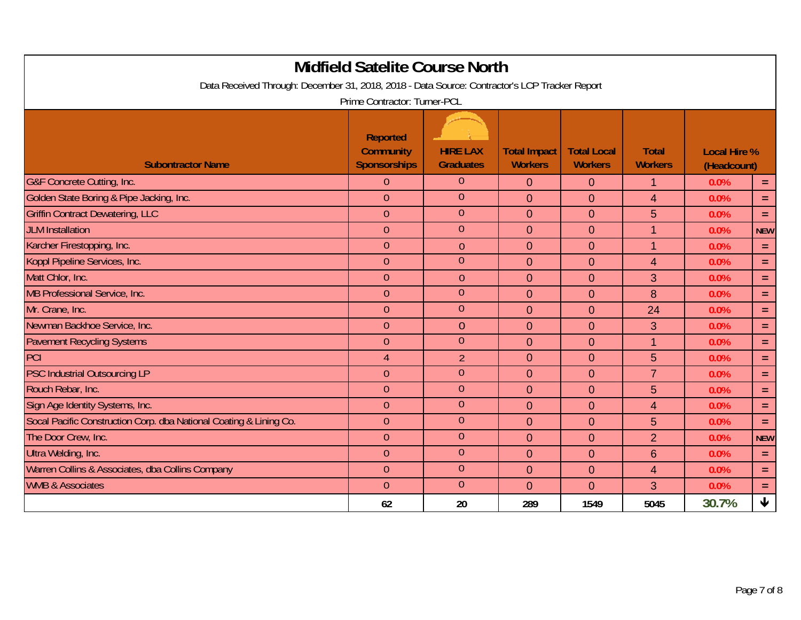|                                                                                               | <b>Midfield Satelite Course North</b>                      |                                     |                                       |                                      |                                |                                    |                 |
|-----------------------------------------------------------------------------------------------|------------------------------------------------------------|-------------------------------------|---------------------------------------|--------------------------------------|--------------------------------|------------------------------------|-----------------|
| Data Received Through: December 31, 2018, 2018 - Data Source: Contractor's LCP Tracker Report |                                                            |                                     |                                       |                                      |                                |                                    |                 |
|                                                                                               | Prime Contractor: Turner-PCL                               |                                     |                                       |                                      |                                |                                    |                 |
| <b>Subontractor Name</b>                                                                      | <b>Reported</b><br><b>Community</b><br><b>Sponsorships</b> | <b>HIRE LAX</b><br><b>Graduates</b> | <b>Total Impact</b><br><b>Workers</b> | <b>Total Local</b><br><b>Workers</b> | <b>Total</b><br><b>Workers</b> | <b>Local Hire %</b><br>(Headcount) |                 |
| <b>G&amp;F Concrete Cutting, Inc.</b>                                                         | $\overline{0}$                                             | $\overline{0}$                      | $\overline{0}$                        | $\overline{0}$                       | 1                              | 0.0%                               | $\equiv$        |
| Golden State Boring & Pipe Jacking, Inc.                                                      | $\overline{0}$                                             | $\overline{0}$                      | $\overline{0}$                        | $\mathbf{0}$                         | $\overline{4}$                 | 0.0%                               | $\equiv$        |
| <b>Griffin Contract Dewatering, LLC</b>                                                       | $\overline{0}$                                             | $\overline{0}$                      | $\overline{0}$                        | $\overline{0}$                       | 5                              | 0.0%                               | $\equiv$        |
| <b>JLM</b> Installation                                                                       | $\overline{0}$                                             | $\overline{0}$                      | $\overline{0}$                        | $\overline{0}$                       | $\overline{1}$                 | 0.0%                               | <b>NEW</b>      |
| Karcher Firestopping, Inc.                                                                    | $\overline{0}$                                             | $\mathbf{0}$                        | $\overline{0}$                        | $\mathbf{0}$                         | 1                              | 0.0%                               | $\equiv$        |
| Koppl Pipeline Services, Inc.                                                                 | $\overline{0}$                                             | $\overline{0}$                      | $\overline{0}$                        | $\overline{0}$                       | $\overline{4}$                 | 0.0%                               | $\equiv$        |
| Matt Chlor, Inc.                                                                              | $\overline{0}$                                             | $\theta$                            | $\overline{0}$                        | $\mathbf{0}$                         | 3                              | 0.0%                               | $\equiv$        |
| MB Professional Service, Inc.                                                                 | $\overline{0}$                                             | $\overline{0}$                      | $\overline{0}$                        | $\mathbf{0}$                         | 8                              | 0.0%                               | $\equiv$        |
| Mr. Crane, Inc.                                                                               | $\overline{0}$                                             | $\overline{0}$                      | $\overline{0}$                        | $\overline{0}$                       | 24                             | 0.0%                               | $\equiv$        |
| Newman Backhoe Service, Inc.                                                                  | $\overline{0}$                                             | $\theta$                            | $\mathbf{0}$                          | $\overline{0}$                       | 3                              | 0.0%                               | $\equiv$        |
| <b>Pavement Recycling Systems</b>                                                             | $\overline{0}$                                             | $\overline{0}$                      | $\overline{0}$                        | $\overline{0}$                       | $\mathbf 1$                    | 0.0%                               | $\equiv$        |
| PCI                                                                                           | $\overline{4}$                                             | $\overline{2}$                      | $\overline{0}$                        | $\overline{0}$                       | 5                              | 0.0%                               | $\equiv$        |
| <b>PSC Industrial Outsourcing LP</b>                                                          | $\overline{0}$                                             | $\overline{0}$                      | $\mathbf 0$                           | $\mathbf{0}$                         | $\overline{7}$                 | 0.0%                               | $\equiv$        |
| Rouch Rebar, Inc.                                                                             | $\overline{0}$                                             | $\overline{0}$                      | $\overline{0}$                        | $\overline{0}$                       | 5                              | 0.0%                               | $\equiv$        |
| Sign Age Identity Systems, Inc.                                                               | $\overline{0}$                                             | $\overline{0}$                      | $\overline{0}$                        | $\overline{0}$                       | 4                              | 0.0%                               | $\equiv$        |
| Socal Pacific Construction Corp. dba National Coating & Lining Co.                            | $\overline{0}$                                             | $\overline{0}$                      | $\overline{0}$                        | $\overline{0}$                       | 5                              | 0.0%                               | $\equiv$        |
| The Door Crew, Inc.                                                                           | $\overline{0}$                                             | $\overline{0}$                      | $\mathbf 0$                           | $\overline{0}$                       | $\overline{2}$                 | 0.0%                               | <b>NEW</b>      |
| Ultra Welding, Inc.                                                                           | $\overline{0}$                                             | $\overline{0}$                      | $\overline{0}$                        | $\overline{0}$                       | $6\phantom{1}6$                | 0.0%                               | $\equiv$        |
| Warren Collins & Associates, dba Collins Company                                              | $\theta$                                                   | $\overline{0}$                      | $\overline{0}$                        | $\Omega$                             | $\overline{4}$                 | 0.0%                               | $\equiv$        |
| <b>WMB &amp; Associates</b>                                                                   | $\overline{0}$                                             | $\overline{0}$                      | $\overline{0}$                        | $\overline{0}$                       | 3                              | 0.0%                               | $\equiv$        |
|                                                                                               | 62                                                         | 20                                  | 289                                   | 1549                                 | 5045                           | 30.7%                              | $\blacklozenge$ |